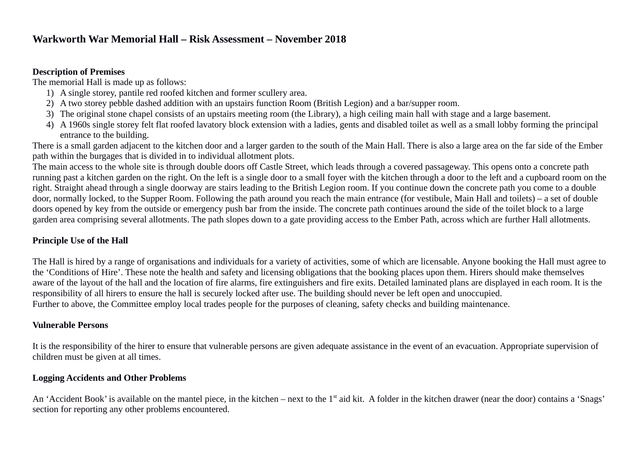#### **Description of Premises**

The memorial Hall is made up as follows:

- 1) A single storey, pantile red roofed kitchen and former scullery area.
- 2) A two storey pebble dashed addition with an upstairs function Room (British Legion) and a bar/supper room.
- 3) The original stone chapel consists of an upstairs meeting room (the Library), a high ceiling main hall with stage and a large basement.
- 4) A 1960s single storey felt flat roofed lavatory block extension with a ladies, gents and disabled toilet as well as a small lobby forming the principal entrance to the building.

There is a small garden adjacent to the kitchen door and a larger garden to the south of the Main Hall. There is also a large area on the far side of the Ember path within the burgages that is divided in to individual allotment plots.

The main access to the whole site is through double doors off Castle Street, which leads through a covered passageway. This opens onto a concrete path running past a kitchen garden on the right. On the left is a single door to a small foyer with the kitchen through a door to the left and a cupboard room on the right. Straight ahead through a single doorway are stairs leading to the British Legion room. If you continue down the concrete path you come to a double door, normally locked, to the Supper Room. Following the path around you reach the main entrance (for vestibule, Main Hall and toilets) – a set of double doors opened by key from the outside or emergency push bar from the inside. The concrete path continues around the side of the toilet block to a large garden area comprising several allotments. The path slopes down to a gate providing access to the Ember Path, across which are further Hall allotments.

## **Principle Use of the Hall**

The Hall is hired by a range of organisations and individuals for a variety of activities, some of which are licensable. Anyone booking the Hall must agree to the 'Conditions of Hire'. These note the health and safety and licensing obligations that the booking places upon them. Hirers should make themselves aware of the layout of the hall and the location of fire alarms, fire extinguishers and fire exits. Detailed laminated plans are displayed in each room. It is the responsibility of all hirers to ensure the hall is securely locked after use. The building should never be left open and unoccupied. Further to above, the Committee employ local trades people for the purposes of cleaning, safety checks and building maintenance.

### **Vulnerable Persons**

It is the responsibility of the hirer to ensure that vulnerable persons are given adequate assistance in the event of an evacuation. Appropriate supervision of children must be given at all times.

## **Logging Accidents and Other Problems**

An 'Accident Book' is available on the mantel piece, in the kitchen – next to the 1<sup>st</sup> aid kit. A folder in the kitchen drawer (near the door) contains a 'Snags' section for reporting any other problems encountered.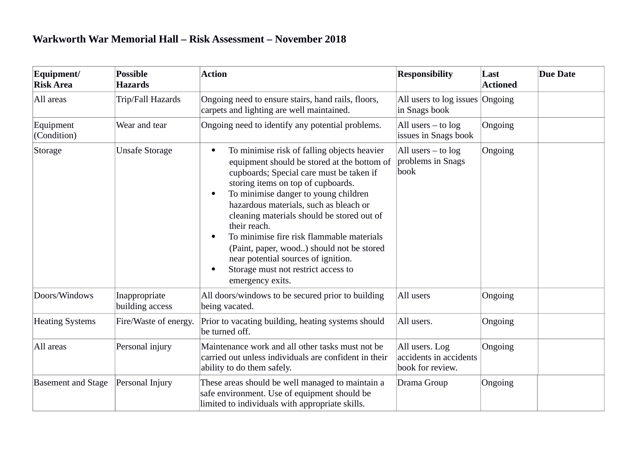| Equipment/<br><b>Risk Area</b> | <b>Possible</b><br><b>Hazards</b> | <b>Action</b>                                                                                                                                                                                                                                                                                                                                                                                                                                                                                                                         | <b>Responsibility</b>                                        | $\bf{Last}$<br><b>Actioned</b> | <b>Due Date</b> |
|--------------------------------|-----------------------------------|---------------------------------------------------------------------------------------------------------------------------------------------------------------------------------------------------------------------------------------------------------------------------------------------------------------------------------------------------------------------------------------------------------------------------------------------------------------------------------------------------------------------------------------|--------------------------------------------------------------|--------------------------------|-----------------|
| All areas                      | Trip/Fall Hazards                 | Ongoing need to ensure stairs, hand rails, floors,<br>carpets and lighting are well maintained.                                                                                                                                                                                                                                                                                                                                                                                                                                       | All users to log issues Ongoing<br>in Snags book             |                                |                 |
| Equipment<br>(Condition)       | Wear and tear                     | Ongoing need to identify any potential problems.                                                                                                                                                                                                                                                                                                                                                                                                                                                                                      | All users $-$ to $log$<br>issues in Snags book               | Ongoing                        |                 |
| Storage                        | <b>Unsafe Storage</b>             | To minimise risk of falling objects heavier<br>equipment should be stored at the bottom of<br>cupboards; Special care must be taken if<br>storing items on top of cupboards.<br>To minimise danger to young children<br>$\bullet$<br>hazardous materials, such as bleach or<br>cleaning materials should be stored out of<br>their reach.<br>To minimise fire risk flammable materials<br>(Paint, paper, wood) should not be stored<br>near potential sources of ignition.<br>Storage must not restrict access to<br>emergency exits. | All users $-$ to $log$<br>problems in Snags<br>book          | Ongoing                        |                 |
| Doors/Windows                  | Inappropriate<br>building access  | All doors/windows to be secured prior to building<br>being vacated.                                                                                                                                                                                                                                                                                                                                                                                                                                                                   | All users                                                    | Ongoing                        |                 |
| <b>Heating Systems</b>         | Fire/Waste of energy.             | Prior to vacating building, heating systems should<br>be turned off.                                                                                                                                                                                                                                                                                                                                                                                                                                                                  | All users.                                                   | Ongoing                        |                 |
| All areas                      | Personal injury                   | Maintenance work and all other tasks must not be<br>carried out unless individuals are confident in their<br>ability to do them safely.                                                                                                                                                                                                                                                                                                                                                                                               | All users. Log<br>accidents in accidents<br>book for review. | Ongoing                        |                 |
| <b>Basement and Stage</b>      | Personal Injury                   | These areas should be well managed to maintain a<br>safe environment. Use of equipment should be<br>limited to individuals with appropriate skills.                                                                                                                                                                                                                                                                                                                                                                                   | Drama Group                                                  | Ongoing                        |                 |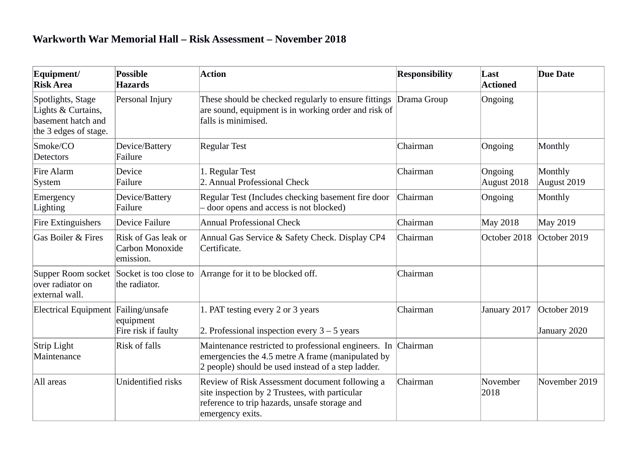| Equipment/<br><b>Risk Area</b>                                                         | <b>Possible</b><br><b>Hazards</b>                   | <b>Action</b>                                                                                                                                                         | <b>Responsibility</b> | Last<br><b>Actioned</b> | <b>Due Date</b>              |
|----------------------------------------------------------------------------------------|-----------------------------------------------------|-----------------------------------------------------------------------------------------------------------------------------------------------------------------------|-----------------------|-------------------------|------------------------------|
| Spotlights, Stage<br>Lights & Curtains,<br>basement hatch and<br>the 3 edges of stage. | Personal Injury                                     | These should be checked regularly to ensure fittings Drama Group<br>are sound, equipment is in working order and risk of<br>falls is minimised.                       |                       | Ongoing                 |                              |
| Smoke/CO<br><b>Detectors</b>                                                           | Device/Battery<br>Failure                           | <b>Regular Test</b>                                                                                                                                                   | Chairman              | Ongoing                 | Monthly                      |
| <b>Fire Alarm</b><br>System                                                            | Device<br>Failure                                   | 1. Regular Test<br>2. Annual Professional Check                                                                                                                       | Chairman              | Ongoing<br>August 2018  | Monthly<br>August 2019       |
| Emergency<br>Lighting                                                                  | Device/Battery<br>Failure                           | Regular Test (Includes checking basement fire door<br>door opens and access is not blocked)                                                                           | Chairman              | Ongoing                 | Monthly                      |
| <b>Fire Extinguishers</b>                                                              | Device Failure                                      | <b>Annual Professional Check</b>                                                                                                                                      | Chairman              | May 2018                | May 2019                     |
| <b>Gas Boiler &amp; Fires</b>                                                          | Risk of Gas leak or<br>Carbon Monoxide<br>emission. | Annual Gas Service & Safety Check. Display CP4<br>Certificate.                                                                                                        | Chairman              | October 2018            | October 2019                 |
| over radiator on<br>external wall.                                                     | the radiator.                                       | Supper Room socket Socket is too close to Arrange for it to be blocked off.                                                                                           | Chairman              |                         |                              |
| Electrical Equipment Failing/unsafe                                                    | equipment<br>Fire risk if faulty                    | 1. PAT testing every 2 or 3 years<br>2. Professional inspection every $3 - 5$ years                                                                                   | Chairman              | January 2017            | October 2019<br>January 2020 |
| Strip Light<br>Maintenance                                                             | <b>Risk of falls</b>                                | Maintenance restricted to professional engineers. In<br>emergencies the 4.5 metre A frame (manipulated by<br>2 people) should be used instead of a step ladder.       | Chairman              |                         |                              |
| All areas                                                                              | Unidentified risks                                  | Review of Risk Assessment document following a<br>site inspection by 2 Trustees, with particular<br>reference to trip hazards, unsafe storage and<br>emergency exits. | Chairman              | November<br>2018        | November 2019                |